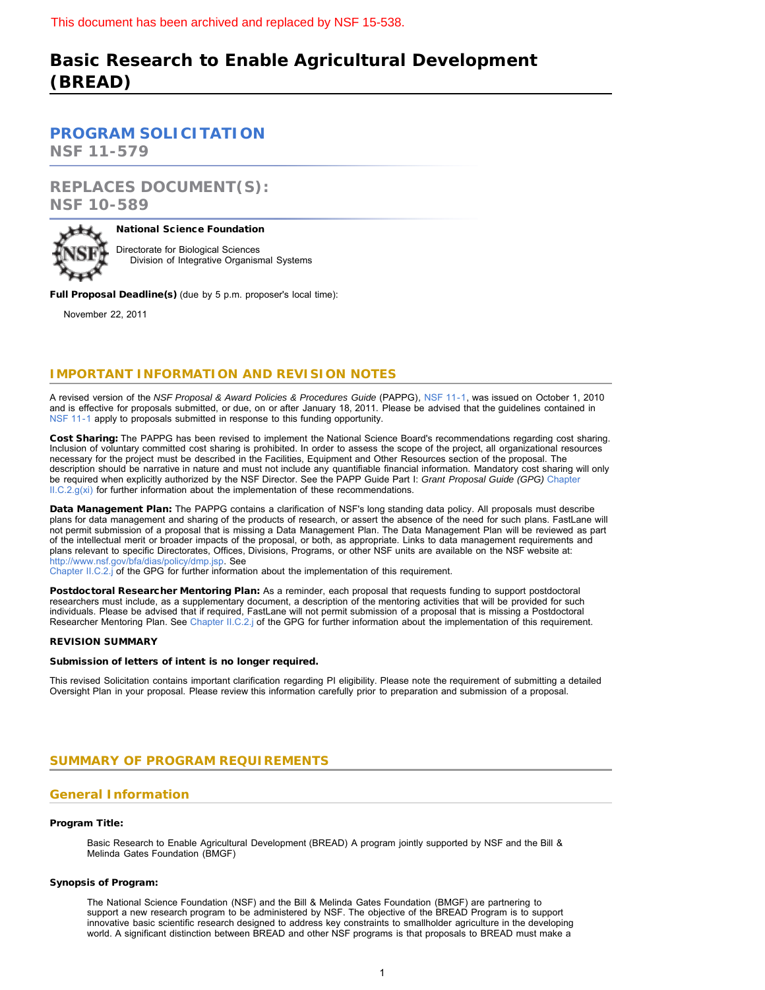# **Basic Research to Enable Agricultural Development (BREAD)**

# **[PROGRAM SOLICITATION](#page-2-0)**

**NSF 11-579**

# **REPLACES DOCUMENT(S): NSF 10-589**



# National Science Foundation

Directorate for Biological Sciences Division of Integrative Organismal Systems

Full Proposal Deadline(s) (due by 5 p.m. proposer's local time):

November 22, 2011

# **IMPORTANT INFORMATION AND REVISION NOTES**

A revised version of the *NSF Proposal & Award Policies & Procedures Guide* (PAPPG)*,* [NSF 11-1,](http://www.nsf.gov/publications/pub_summ.jsp?ods_key=nsf11001) was issued on October 1, 2010 and is effective for proposals submitted, or due, on or after January 18, 2011. Please be advised that the guidelines contained in [NSF 11-1](http://www.nsf.gov/publications/pub_summ.jsp?ods_key=nsf11001) apply to proposals submitted in response to this funding opportunity.

Cost Sharing: The PAPPG has been revised to implement the National Science Board's recommendations regarding cost sharing. Inclusion of voluntary committed cost sharing is prohibited. In order to assess the scope of the project, all organizational resources necessary for the project must be described in the Facilities, Equipment and Other Resources section of the proposal. The description should be narrative in nature and must not include any quantifiable financial information. Mandatory cost sharing will only be required when explicitly authorized by the NSF Director. See the PAPP Guide Part I: *Grant Proposal Guide (GPG)* [Chapter](http://www.nsf.gov/pubs/policydocs/pappguide/nsf11001/gpg_2.jsp#IIC2gxi)  $II.C.2.g(xi)$  for further information about the implementation of these recommendations.

Data Management Plan: The PAPPG contains a clarification of NSF's long standing data policy. All proposals must describe plans for data management and sharing of the products of research, or assert the absence of the need for such plans. FastLane will not permit submission of a proposal that is missing a Data Management Plan. The Data Management Plan will be reviewed as part of the intellectual merit or broader impacts of the proposal, or both, as appropriate. Links to data management requirements and plans relevant to specific Directorates, Offices, Divisions, Programs, or other NSF units are available on the NSF website at: [http://www.nsf.gov/bfa/dias/policy/dmp.jsp.](http://www.nsf.gov/bfa/dias/policy/dmp.jsp) See

[Chapter II.C.2.j](http://www.nsf.gov/pubs/policydocs/pappguide/nsf11001/gpg_2.jsp#IIC2j) of the GPG for further information about the implementation of this requirement.

Postdoctoral Researcher Mentoring Plan: As a reminder, each proposal that requests funding to support postdoctoral researchers must include, as a supplementary document, a description of the mentoring activities that will be provided for such individuals. Please be advised that if required, FastLane will not permit submission of a proposal that is missing a Postdoctoral Researcher Mentoring Plan. See [Chapter II.C.2.j](http://www.nsf.gov/pubs/policydocs/pappguide/nsf11001/gpg_2.jsp#IIC2j) of the GPG for further information about the implementation of this requirement.

#### REVISION SUMMARY

#### Submission of letters of intent is no longer required.

<span id="page-0-0"></span>This revised Solicitation contains important clarification regarding PI eligibility. Please note the requirement of submitting a detailed Oversight Plan in your proposal. Please review this information carefully prior to preparation and submission of a proposal.

## **SUMMARY OF PROGRAM REQUIREMENTS**

### **General Information**

#### Program Title:

Basic Research to Enable Agricultural Development (BREAD) A program jointly supported by NSF and the Bill & Melinda Gates Foundation (BMGF)

#### Synopsis of Program:

The National Science Foundation (NSF) and the Bill & Melinda Gates Foundation (BMGF) are partnering to support a new research program to be administered by NSF. The objective of the BREAD Program is to support innovative basic scientific research designed to address key constraints to smallholder agriculture in the developing world. A significant distinction between BREAD and other NSF programs is that proposals to BREAD must make a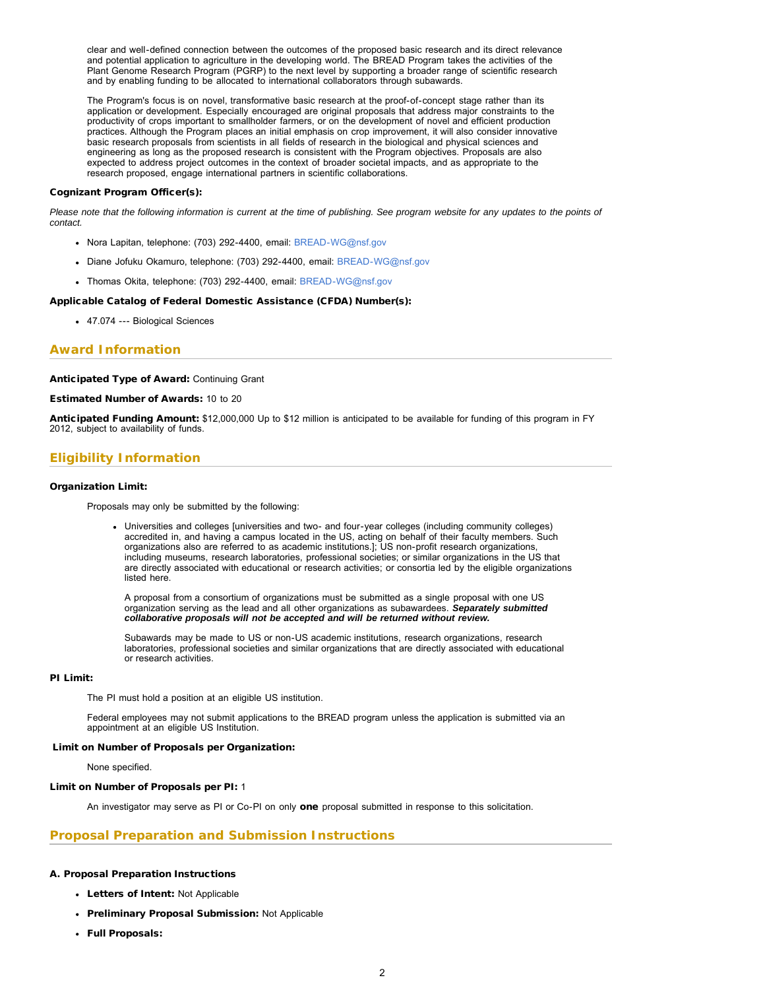clear and well-defined connection between the outcomes of the proposed basic research and its direct relevance and potential application to agriculture in the developing world. The BREAD Program takes the activities of the Plant Genome Research Program (PGRP) to the next level by supporting a broader range of scientific research and by enabling funding to be allocated to international collaborators through subawards.

The Program's focus is on novel, transformative basic research at the proof-of-concept stage rather than its application or development. Especially encouraged are original proposals that address major constraints to the productivity of crops important to smallholder farmers, or on the development of novel and efficient production practices. Although the Program places an initial emphasis on crop improvement, it will also consider innovative basic research proposals from scientists in all fields of research in the biological and physical sciences and engineering as long as the proposed research is consistent with the Program objectives. Proposals are also expected to address project outcomes in the context of broader societal impacts, and as appropriate to the research proposed, engage international partners in scientific collaborations.

#### Cognizant Program Officer(s):

*Please note that the following information is current at the time of publishing. See program website for any updates to the points of contact.*

- Nora Lapitan, telephone: (703) 292-4400, email: [BREAD-WG@nsf.gov](mailto:BREAD-WG@nsf.gov)
- Diane Jofuku Okamuro, telephone: (703) 292-4400, email: [BREAD-WG@nsf.gov](mailto:BREAD-WG@nsf.gov)
- Thomas Okita, telephone: (703) 292-4400, email: [BREAD-WG@nsf.gov](mailto:BREAD-WG@nsf.gov)

#### Applicable Catalog of Federal Domestic Assistance (CFDA) Number(s):

47.074 --- Biological Sciences

### **Award Information**

Anticipated Type of Award: Continuing Grant

Estimated Number of Awards: 10 to 20

Anticipated Funding Amount: \$12,000,000 Up to \$12 million is anticipated to be available for funding of this program in FY 2012, subject to availability of funds.

### **Eligibility Information**

#### Organization Limit:

Proposals may only be submitted by the following:

Universities and colleges [universities and two- and four-year colleges (including community colleges) accredited in, and having a campus located in the US, acting on behalf of their faculty members. Such organizations also are referred to as academic institutions.]; US non-profit research organizations, including museums, research laboratories, professional societies; or similar organizations in the US that are directly associated with educational or research activities; or consortia led by the eligible organizations listed here.

A proposal from a consortium of organizations must be submitted as a single proposal with one US organization serving as the lead and all other organizations as subawardees. *Separately submitted collaborative proposals will not be accepted and will be returned without review.*

Subawards may be made to US or non-US academic institutions, research organizations, research laboratories, professional societies and similar organizations that are directly associated with educational or research activities.

#### PI Limit:

The PI must hold a position at an eligible US institution.

Federal employees may not submit applications to the BREAD program unless the application is submitted via an appointment at an eligible US Institution.

#### Limit on Number of Proposals per Organization:

None specified.

#### Limit on Number of Proposals per PI: 1

An investigator may serve as PI or Co-PI on only one proposal submitted in response to this solicitation.

### **Proposal Preparation and Submission Instructions**

#### A. Proposal Preparation Instructions

- Letters of Intent: Not Applicable
- Preliminary Proposal Submission: Not Applicable
- Full Proposals: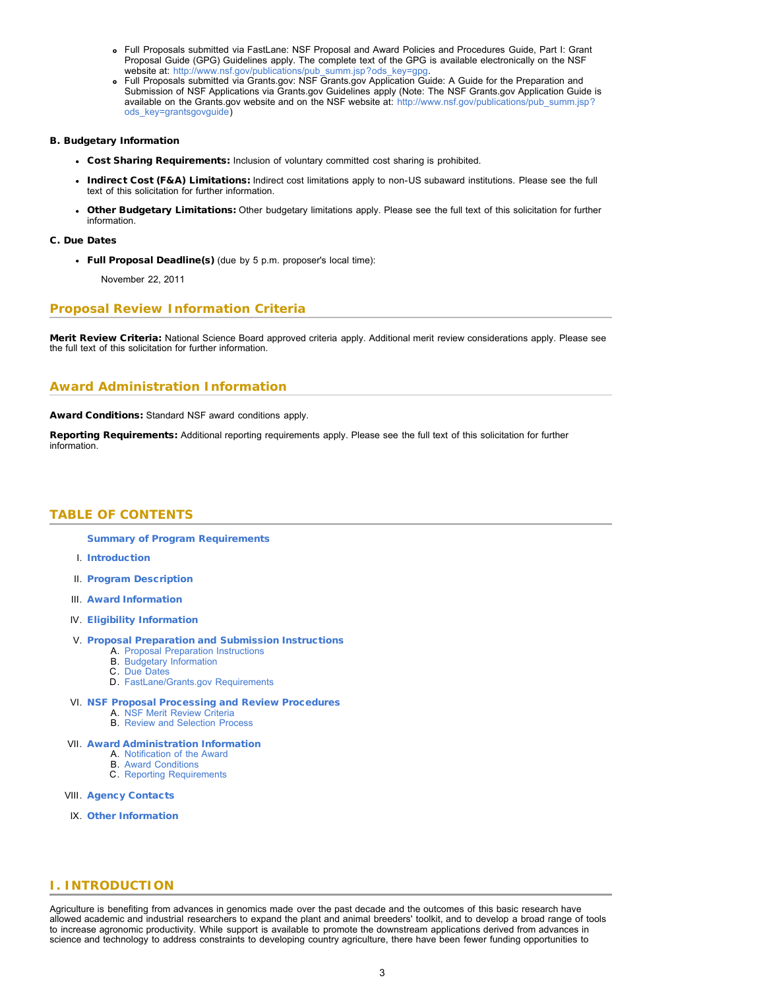- Full Proposals submitted via FastLane: NSF Proposal and Award Policies and Procedures Guide, Part I: Grant Proposal Guide (GPG) Guidelines apply. The complete text of the GPG is available electronically on the NSF website at: [http://www.nsf.gov/publications/pub\\_summ.jsp?ods\\_key=gpg.](http://www.nsf.gov/publications/pub_summ.jsp?ods_key=gpg)
- Full Proposals submitted via Grants.gov: NSF Grants.gov Application Guide: A Guide for the Preparation and Submission of NSF Applications via Grants.gov Guidelines apply (Note: The NSF Grants.gov Application Guide is available on the Grants.gov website and on the NSF website at: [http://www.nsf.gov/publications/pub\\_summ.jsp?](http://www.nsf.gov/publications/pub_summ.jsp?ods_key=grantsgovguide) [ods\\_key=grantsgovguide\)](http://www.nsf.gov/publications/pub_summ.jsp?ods_key=grantsgovguide)

#### B. Budgetary Information

- Cost Sharing Requirements: Inclusion of voluntary committed cost sharing is prohibited.
- Indirect Cost (F&A) Limitations: Indirect cost limitations apply to non-US subaward institutions. Please see the full text of this solicitation for further information.
- Other Budgetary Limitations: Other budgetary limitations apply. Please see the full text of this solicitation for further information.

#### C. Due Dates

Full Proposal Deadline(s) (due by 5 p.m. proposer's local time):

November 22, 2011

### **Proposal Review Information Criteria**

Merit Review Criteria: National Science Board approved criteria apply. Additional merit review considerations apply. Please see the full text of this solicitation for further information.

### **Award Administration Information**

Award Conditions: Standard NSF award conditions apply.

<span id="page-2-0"></span>Reporting Requirements: Additional reporting requirements apply. Please see the full text of this solicitation for further information.

### **TABLE OF CONTENTS**

[Summary of Program Requirements](#page-0-0)

- I. [Introduction](#page-2-1)
- II. [Program Description](#page-3-0)
- III. [Award Information](#page-4-0)
- IV. [Eligibility Information](#page-4-1)
- V. [Proposal Preparation and Submission Instructions](#page-5-0) A. [Proposal Preparation Instructions](#page-5-0)
	- B. [Budgetary Information](#page-8-0)
		- C. [Due Dates](#page-8-1)
		- D. [FastLane/Grants.gov Requirements](#page-8-2)
- VI. [NSF Proposal Processing and Review Procedures](#page-9-0)
	- A. [NSF Merit Review Criteria](#page-9-1)
	- B. [Review and Selection Process](#page-10-0)

### VII. [Award Administration Information](#page-10-1)

- A. [Notification of the Award](#page-10-2)
- B. [Award Conditions](#page-10-3)
- C. [Reporting Requirements](#page-10-4)
- VIII. [Agency Contacts](#page-11-0)
- IX. [Other Information](#page-11-1)

## <span id="page-2-1"></span>**I. INTRODUCTION**

Agriculture is benefiting from advances in genomics made over the past decade and the outcomes of this basic research have allowed academic and industrial researchers to expand the plant and animal breeders' toolkit, and to develop a broad range of tools to increase agronomic productivity. While support is available to promote the downstream applications derived from advances in science and technology to address constraints to developing country agriculture, there have been fewer funding opportunities to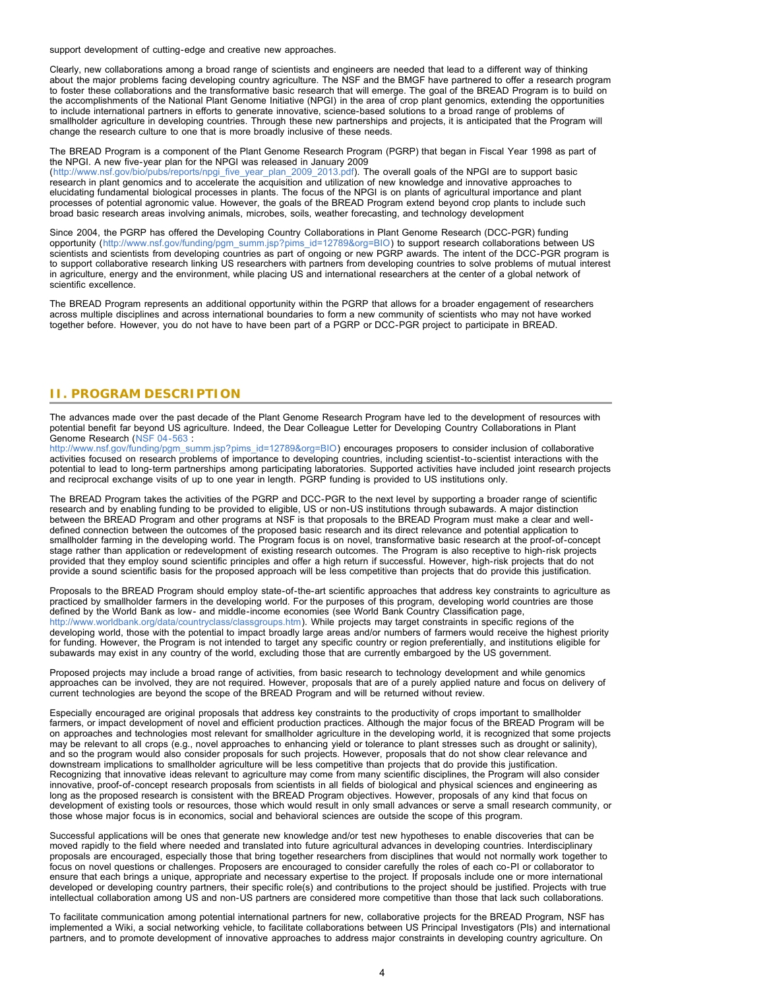support development of cutting-edge and creative new approaches.

Clearly, new collaborations among a broad range of scientists and engineers are needed that lead to a different way of thinking about the major problems facing developing country agriculture. The NSF and the BMGF have partnered to offer a research program to foster these collaborations and the transformative basic research that will emerge. The goal of the BREAD Program is to build on the accomplishments of the National Plant Genome Initiative (NPGI) in the area of crop plant genomics, extending the opportunities to include international partners in efforts to generate innovative, science-based solutions to a broad range of problems of smallholder agriculture in developing countries. Through these new partnerships and projects, it is anticipated that the Program will change the research culture to one that is more broadly inclusive of these needs.

The BREAD Program is a component of the Plant Genome Research Program (PGRP) that began in Fiscal Year 1998 as part of the NPGI. A new five-year plan for the NPGI was released in January 2009

([http://www.nsf.gov/bio/pubs/reports/npgi\\_five\\_year\\_plan\\_2009\\_2013.pdf\)](http://www.nsf.gov/bio/pubs/reports/npgi_five_year_plan_2009_2013.pdf). The overall goals of the NPGI are to support basic research in plant genomics and to accelerate the acquisition and utilization of new knowledge and innovative approaches to elucidating fundamental biological processes in plants. The focus of the NPGI is on plants of agricultural importance and plant processes of potential agronomic value. However, the goals of the BREAD Program extend beyond crop plants to include such broad basic research areas involving animals, microbes, soils, weather forecasting, and technology development

Since 2004, the PGRP has offered the Developing Country Collaborations in Plant Genome Research (DCC-PGR) funding opportunity ([http://www.nsf.gov/funding/pgm\\_summ.jsp?pims\\_id=12789&org=BIO\)](http://www.nsf.gov/funding/pgm_summ.jsp?pims_id=12789&org=BIO) to support research collaborations between US scientists and scientists from developing countries as part of ongoing or new PGRP awards. The intent of the DCC-PGR program is to support collaborative research linking US researchers with partners from developing countries to solve problems of mutual interest in agriculture, energy and the environment, while placing US and international researchers at the center of a global network of scientific excellence.

<span id="page-3-0"></span>The BREAD Program represents an additional opportunity within the PGRP that allows for a broader engagement of researchers across multiple disciplines and across international boundaries to form a new community of scientists who may not have worked together before. However, you do not have to have been part of a PGRP or DCC-PGR project to participate in BREAD.

### **II. PROGRAM DESCRIPTION**

The advances made over the past decade of the Plant Genome Research Program have led to the development of resources with potential benefit far beyond US agriculture. Indeed, the Dear Colleague Letter for Developing Country Collaborations in Plant Genome Research ([NSF 04-563](http://www.nsf.gov/publications/pub_summ.jsp?ods_key=nsf04563) :

[http://www.nsf.gov/funding/pgm\\_summ.jsp?pims\\_id=12789&org=BIO](http://www.nsf.gov/funding/pgm_summ.jsp?pims_id=12789&org=BIO)) encourages proposers to consider inclusion of collaborative activities focused on research problems of importance to developing countries, including scientist-to-scientist interactions with the potential to lead to long-term partnerships among participating laboratories. Supported activities have included joint research projects and reciprocal exchange visits of up to one year in length. PGRP funding is provided to US institutions only.

The BREAD Program takes the activities of the PGRP and DCC-PGR to the next level by supporting a broader range of scientific research and by enabling funding to be provided to eligible, US or non-US institutions through subawards. A major distinction between the BREAD Program and other programs at NSF is that proposals to the BREAD Program must make a clear and welldefined connection between the outcomes of the proposed basic research and its direct relevance and potential application to smallholder farming in the developing world. The Program focus is on novel, transformative basic research at the proof-of-concept stage rather than application or redevelopment of existing research outcomes. The Program is also receptive to high-risk projects provided that they employ sound scientific principles and offer a high return if successful. However, high-risk projects that do not provide a sound scientific basis for the proposed approach will be less competitive than projects that do provide this justification.

Proposals to the BREAD Program should employ state-of-the-art scientific approaches that address key constraints to agriculture as practiced by smallholder farmers in the developing world. For the purposes of this program, developing world countries are those defined by the World Bank as low- and middle-income economies (see World Bank Country Classification page, [http://www.worldbank.org/data/countryclass/classgroups.htm\)](http://www.nsf.gov/cgi-bin/good-bye?http://www.worldbank.org/data/countryclass/classgroups.htm). While projects may target constraints in specific regions of the developing world, those with the potential to impact broadly large areas and/or numbers of farmers would receive the highest priority for funding. However, the Program is not intended to target any specific country or region preferentially, and institutions eligible for subawards may exist in any country of the world, excluding those that are currently embargoed by the US government.

Proposed projects may include a broad range of activities, from basic research to technology development and while genomics approaches can be involved, they are not required. However, proposals that are of a purely applied nature and focus on delivery of current technologies are beyond the scope of the BREAD Program and will be returned without review.

Especially encouraged are original proposals that address key constraints to the productivity of crops important to smallholder farmers, or impact development of novel and efficient production practices. Although the major focus of the BREAD Program will be on approaches and technologies most relevant for smallholder agriculture in the developing world, it is recognized that some projects may be relevant to all crops (e.g., novel approaches to enhancing yield or tolerance to plant stresses such as drought or salinity), and so the program would also consider proposals for such projects. However, proposals that do not show clear relevance and downstream implications to smallholder agriculture will be less competitive than projects that do provide this justification. Recognizing that innovative ideas relevant to agriculture may come from many scientific disciplines, the Program will also consider innovative, proof-of-concept research proposals from scientists in all fields of biological and physical sciences and engineering as long as the proposed research is consistent with the BREAD Program objectives. However, proposals of any kind that focus on development of existing tools or resources, those which would result in only small advances or serve a small research community, or those whose major focus is in economics, social and behavioral sciences are outside the scope of this program.

Successful applications will be ones that generate new knowledge and/or test new hypotheses to enable discoveries that can be moved rapidly to the field where needed and translated into future agricultural advances in developing countries. Interdisciplinary proposals are encouraged, especially those that bring together researchers from disciplines that would not normally work together to focus on novel questions or challenges. Proposers are encouraged to consider carefully the roles of each co-PI or collaborator to ensure that each brings a unique, appropriate and necessary expertise to the project. If proposals include one or more international developed or developing country partners, their specific role(s) and contributions to the project should be justified. Projects with true intellectual collaboration among US and non-US partners are considered more competitive than those that lack such collaborations.

To facilitate communication among potential international partners for new, collaborative projects for the BREAD Program, NSF has implemented a Wiki, a social networking vehicle, to facilitate collaborations between US Principal Investigators (PIs) and international partners, and to promote development of innovative approaches to address major constraints in developing country agriculture. On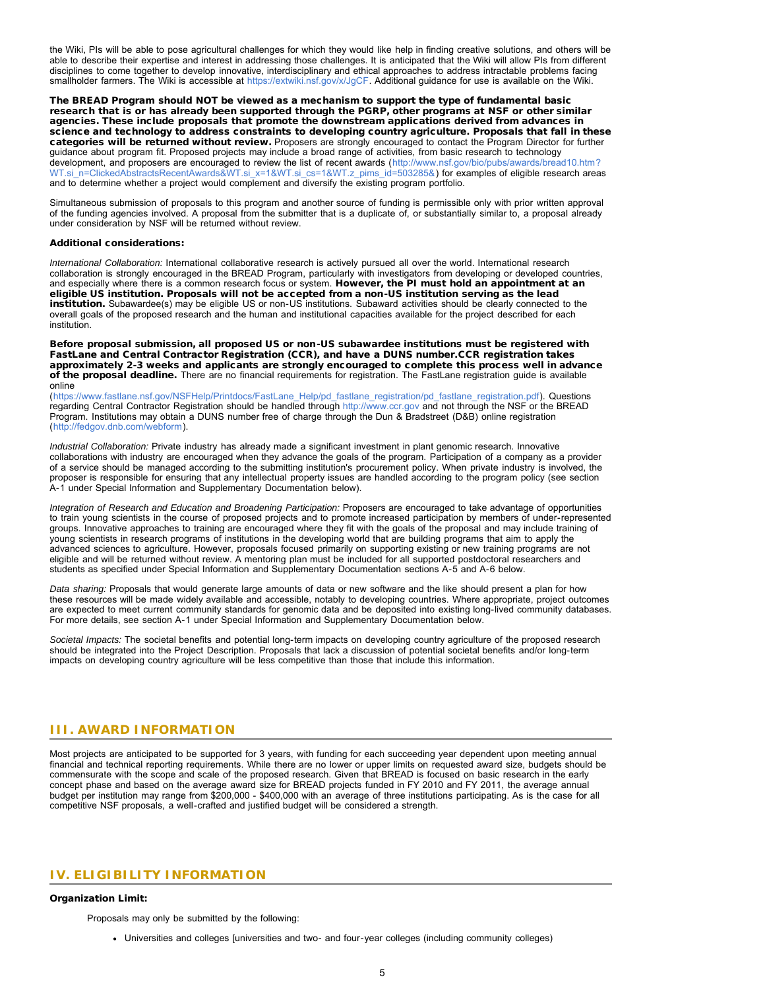the Wiki, PIs will be able to pose agricultural challenges for which they would like help in finding creative solutions, and others will be able to describe their expertise and interest in addressing those challenges. It is anticipated that the Wiki will allow PIs from different disciplines to come together to develop innovative, interdisciplinary and ethical approaches to address intractable problems facing smallholder farmers. The Wiki is accessible at [https://extwiki.nsf.gov/x/JgCF.](https://extwiki.nsf.gov/x/JgCF) Additional guidance for use is available on the Wiki.

The BREAD Program should NOT be viewed as a mechanism to support the type of fundamental basic research that is or has already been supported through the PGRP, other programs at NSF or other similar agencies. These include proposals that promote the downstream applications derived from advances in science and technology to address constraints to developing country agriculture. Proposals that fall in these categories will be returned without review. Proposers are strongly encouraged to contact the Program Director for further guidance about program fit. Proposed projects may include a broad range of activities, from basic research to technology development, and proposers are encouraged to review the list of recent awards ([http://www.nsf.gov/bio/pubs/awards/bread10.htm?](http://www.nsf.gov/bio/pubs/awards/bread10.htm?WT.si_n=ClickedAbstractsRecentAwards&WT.si_x=1&WT.si_cs=1&WT.z_pims_id=503285&) [WT.si\\_n=ClickedAbstractsRecentAwards&WT.si\\_x=1&WT.si\\_cs=1&WT.z\\_pims\\_id=503285&\)](http://www.nsf.gov/bio/pubs/awards/bread10.htm?WT.si_n=ClickedAbstractsRecentAwards&WT.si_x=1&WT.si_cs=1&WT.z_pims_id=503285&) for examples of eligible research areas and to determine whether a project would complement and diversify the existing program portfolio.

Simultaneous submission of proposals to this program and another source of funding is permissible only with prior written approval of the funding agencies involved. A proposal from the submitter that is a duplicate of, or substantially similar to, a proposal already under consideration by NSF will be returned without review.

#### Additional considerations:

*International Collaboration:* International collaborative research is actively pursued all over the world. International research collaboration is strongly encouraged in the BREAD Program, particularly with investigators from developing or developed countries, and especially where there is a common research focus or system. However, the PI must hold an appointment at an eligible US institution. Proposals will not be accepted from a non-US institution serving as the lead institution. Subawardee(s) may be eligible US or non-US institutions. Subaward activities should be clearly connected to the overall goals of the proposed research and the human and institutional capacities available for the project described for each institution.

Before proposal submission, all proposed US or non-US subawardee institutions must be registered with FastLane and Central Contractor Registration (CCR), and have a DUNS number.CCR registration takes approximately 2-3 weeks and applicants are strongly encouraged to complete this process well in advance of the proposal deadline. There are no financial requirements for registration. The FastLane registration guide is available online

([https://www.fastlane.nsf.gov/NSFHelp/Printdocs/FastLane\\_Help/pd\\_fastlane\\_registration/pd\\_fastlane\\_registration.pdf](https://www.fastlane.nsf.gov/NSFHelp/Printdocs/FastLane_Help/pd_fastlane_registration/pd_fastlane_registration.pdf)). Questions regarding Central Contractor Registration should be handled through [http://www.ccr.gov](http://www.ccr.gov/) and not through the NSF or the BREAD Program. Institutions may obtain a DUNS number free of charge through the Dun & Bradstreet (D&B) online registration ([http://fedgov.dnb.com/webform\)](http://www.nsf.gov/cgi-bin/good-bye?http://fedgov.dnb.com/webform).

*Industrial Collaboration:* Private industry has already made a significant investment in plant genomic research. Innovative collaborations with industry are encouraged when they advance the goals of the program. Participation of a company as a provider of a service should be managed according to the submitting institution's procurement policy. When private industry is involved, the proposer is responsible for ensuring that any intellectual property issues are handled according to the program policy (see section A-1 under Special Information and Supplementary Documentation below).

*Integration of Research and Education and Broadening Participation:* Proposers are encouraged to take advantage of opportunities to train young scientists in the course of proposed projects and to promote increased participation by members of under-represented groups. Innovative approaches to training are encouraged where they fit with the goals of the proposal and may include training of young scientists in research programs of institutions in the developing world that are building programs that aim to apply the advanced sciences to agriculture. However, proposals focused primarily on supporting existing or new training programs are not eligible and will be returned without review. A mentoring plan must be included for all supported postdoctoral researchers and students as specified under Special Information and Supplementary Documentation sections A-5 and A-6 below.

*Data sharing:* Proposals that would generate large amounts of data or new software and the like should present a plan for how these resources will be made widely available and accessible, notably to developing countries. Where appropriate, project outcomes are expected to meet current community standards for genomic data and be deposited into existing long-lived community databases. For more details, see section A-1 under Special Information and Supplementary Documentation below.

<span id="page-4-0"></span>*Societal Impacts:* The societal benefits and potential long-term impacts on developing country agriculture of the proposed research should be integrated into the Project Description. Proposals that lack a discussion of potential societal benefits and/or long-term impacts on developing country agriculture will be less competitive than those that include this information.

### **III. AWARD INFORMATION**

Most projects are anticipated to be supported for 3 years, with funding for each succeeding year dependent upon meeting annual financial and technical reporting requirements. While there are no lower or upper limits on requested award size, budgets should be commensurate with the scope and scale of the proposed research. Given that BREAD is focused on basic research in the early concept phase and based on the average award size for BREAD projects funded in FY 2010 and FY 2011, the average annual budget per institution may range from \$200,000 - \$400,000 with an average of three institutions participating. As is the case for all competitive NSF proposals, a well-crafted and justified budget will be considered a strength.

### <span id="page-4-1"></span>**IV. ELIGIBILITY INFORMATION**

#### Organization Limit:

Proposals may only be submitted by the following:

Universities and colleges [universities and two- and four-year colleges (including community colleges)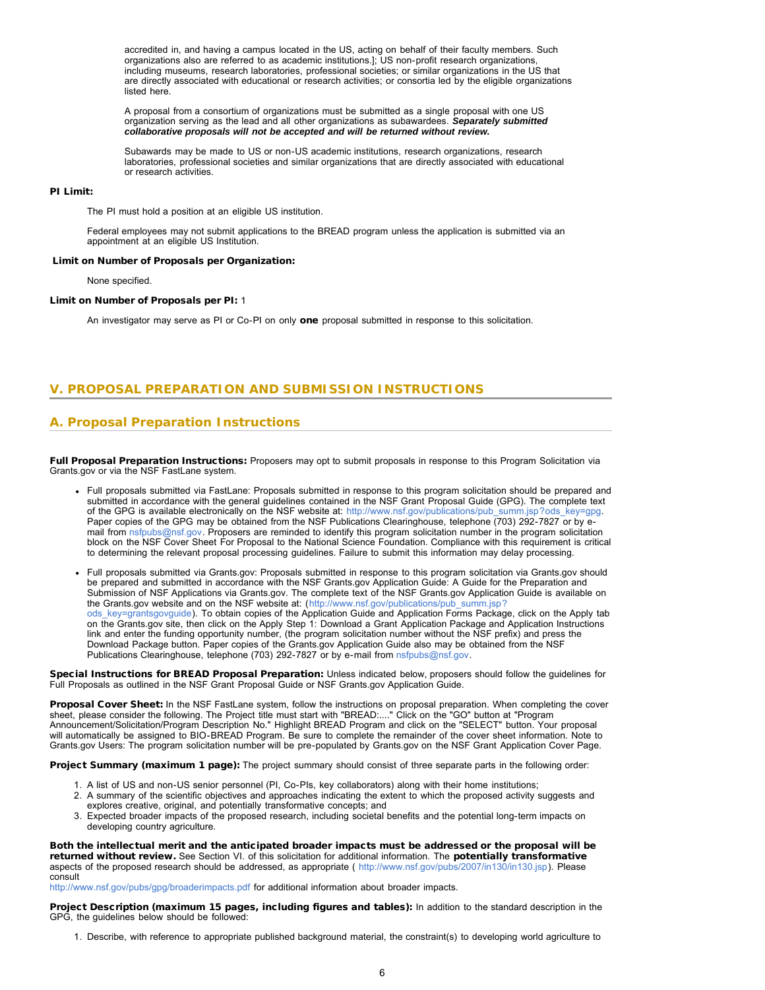accredited in, and having a campus located in the US, acting on behalf of their faculty members. Such organizations also are referred to as academic institutions.]; US non-profit research organizations, including museums, research laboratories, professional societies; or similar organizations in the US that are directly associated with educational or research activities; or consortia led by the eligible organizations listed here.

A proposal from a consortium of organizations must be submitted as a single proposal with one US organization serving as the lead and all other organizations as subawardees. *Separately submitted collaborative proposals will not be accepted and will be returned without review.*

Subawards may be made to US or non-US academic institutions, research organizations, research laboratories, professional societies and similar organizations that are directly associated with educational or research activities.

#### PI Limit:

The PI must hold a position at an eligible US institution.

Federal employees may not submit applications to the BREAD program unless the application is submitted via an appointment at an eligible US Institution.

#### Limit on Number of Proposals per Organization:

None specified.

#### <span id="page-5-0"></span>Limit on Number of Proposals per PI: 1

An investigator may serve as PI or Co-PI on only one proposal submitted in response to this solicitation.

### **V. PROPOSAL PREPARATION AND SUBMISSION INSTRUCTIONS**

### **A. Proposal Preparation Instructions**

Full Proposal Preparation Instructions: Proposers may opt to submit proposals in response to this Program Solicitation via Grants.gov or via the NSF FastLane system.

- Full proposals submitted via FastLane: Proposals submitted in response to this program solicitation should be prepared and submitted in accordance with the general guidelines contained in the NSF Grant Proposal Guide (GPG). The complete text of the GPG is available electronically on the NSF website at: [http://www.nsf.gov/publications/pub\\_summ.jsp?ods\\_key=gpg.](http://www.nsf.gov/publications/pub_summ.jsp?ods_key=gpg) Paper copies of the GPG may be obtained from the NSF Publications Clearinghouse, telephone (703) 292-7827 or by email from [nsfpubs@nsf.gov.](mailto:nsfpubs@nsf.gov) Proposers are reminded to identify this program solicitation number in the program solicitation block on the NSF Cover Sheet For Proposal to the National Science Foundation. Compliance with this requirement is critical to determining the relevant proposal processing guidelines. Failure to submit this information may delay processing.
- Full proposals submitted via Grants.gov: Proposals submitted in response to this program solicitation via Grants.gov should be prepared and submitted in accordance with the NSF Grants.gov Application Guide: A Guide for the Preparation and Submission of NSF Applications via Grants.gov. The complete text of the NSF Grants.gov Application Guide is available on the Grants.gov website and on the NSF website at: ([http://www.nsf.gov/publications/pub\\_summ.jsp?](http://www.nsf.gov/publications/pub_summ.jsp?ods_key=grantsgovguide) [ods\\_key=grantsgovguide\)](http://www.nsf.gov/publications/pub_summ.jsp?ods_key=grantsgovguide). To obtain copies of the Application Guide and Application Forms Package, click on the Apply tab on the Grants.gov site, then click on the Apply Step 1: Download a Grant Application Package and Application Instructions link and enter the funding opportunity number, (the program solicitation number without the NSF prefix) and press the Download Package button. Paper copies of the Grants.gov Application Guide also may be obtained from the NSF Publications Clearinghouse, telephone (703) 292-7827 or by e-mail from [nsfpubs@nsf.gov.](mailto:nsfpubs@nsf.gov)

Special Instructions for BREAD Proposal Preparation: Unless indicated below, proposers should follow the guidelines for Full Proposals as outlined in the NSF Grant Proposal Guide or NSF Grants.gov Application Guide.

Proposal Cover Sheet: In the NSF FastLane system, follow the instructions on proposal preparation. When completing the cover sheet, please consider the following. The Project title must start with "BREAD:...." Click on the "GO" button at "Program Announcement/Solicitation/Program Description No." Highlight BREAD Program and click on the "SELECT" button. Your proposal will automatically be assigned to BIO-BREAD Program. Be sure to complete the remainder of the cover sheet information. Note to Grants.gov Users: The program solicitation number will be pre-populated by Grants.gov on the NSF Grant Application Cover Page.

Project Summary (maximum 1 page): The project summary should consist of three separate parts in the following order:

- 1. A list of US and non-US senior personnel (PI, Co-PIs, key collaborators) along with their home institutions;
- 2. A summary of the scientific objectives and approaches indicating the extent to which the proposed activity suggests and explores creative, original, and potentially transformative concepts; and
- 3. Expected broader impacts of the proposed research, including societal benefits and the potential long-term impacts on developing country agriculture.

Both the intellectual merit and the anticipated broader impacts must be addressed or the proposal will be returned without review. See Section VI. of this solicitation for additional information. The potentially transformative aspects of the proposed research should be addressed, as appropriate ( [http://www.nsf.gov/pubs/2007/in130/in130.jsp\)](http://www.nsf.gov/pubs/2007/in130/in130.jsp). Please consult

<http://www.nsf.gov/pubs/gpg/broaderimpacts.pdf>for additional information about broader impacts.

Project Description (maximum 15 pages, including figures and tables): In addition to the standard description in the GPG, the guidelines below should be followed:

1. Describe, with reference to appropriate published background material, the constraint(s) to developing world agriculture to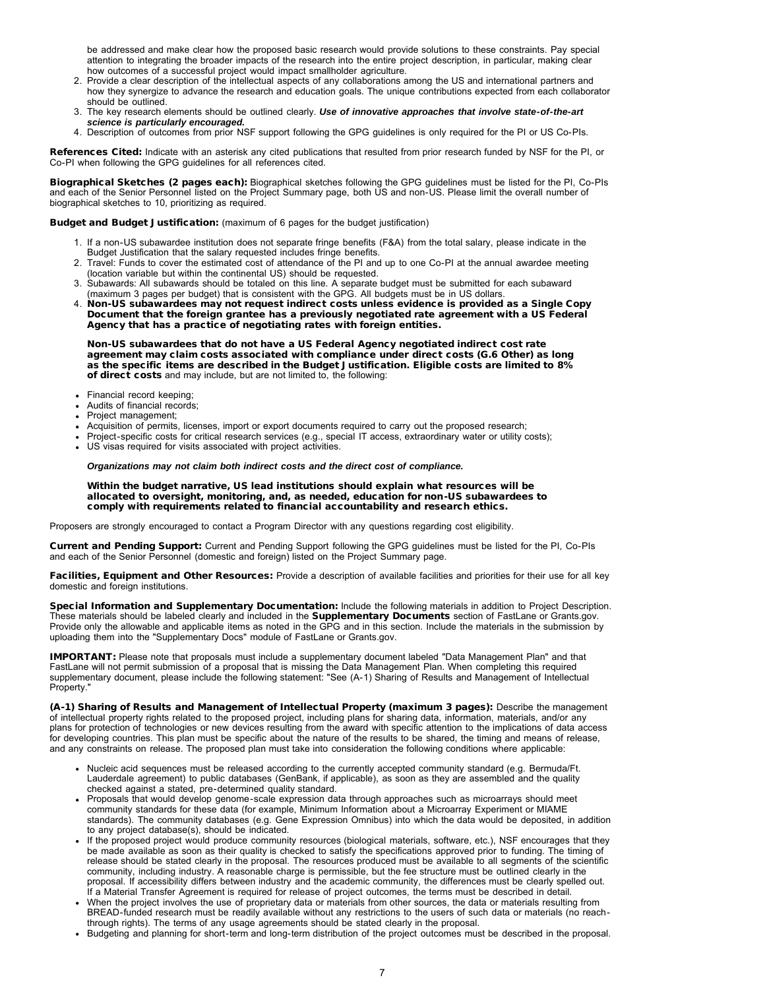be addressed and make clear how the proposed basic research would provide solutions to these constraints. Pay special attention to integrating the broader impacts of the research into the entire project description, in particular, making clear how outcomes of a successful project would impact smallholder agriculture.

- 2. Provide a clear description of the intellectual aspects of any collaborations among the US and international partners and how they synergize to advance the research and education goals. The unique contributions expected from each collaborator should be outlined.
- 3. The key research elements should be outlined clearly. *Use of innovative approaches that involve state-of-the-art science is particularly encouraged.*
- 4. Description of outcomes from prior NSF support following the GPG guidelines is only required for the PI or US Co-PIs.

References Cited: Indicate with an asterisk any cited publications that resulted from prior research funded by NSF for the PI, or Co-PI when following the GPG guidelines for all references cited.

Biographical Sketches (2 pages each): Biographical sketches following the GPG guidelines must be listed for the PI, Co-PIs and each of the Senior Personnel listed on the Project Summary page, both US and non-US. Please limit the overall number of biographical sketches to 10, prioritizing as required.

Budget and Budget Justification: (maximum of 6 pages for the budget justification)

- 1. If a non-US subawardee institution does not separate fringe benefits (F&A) from the total salary, please indicate in the Budget Justification that the salary requested includes fringe benefits.
- 2. Travel: Funds to cover the estimated cost of attendance of the PI and up to one Co-PI at the annual awardee meeting (location variable but within the continental US) should be requested.
- 3. Subawards: All subawards should be totaled on this line. A separate budget must be submitted for each subaward (maximum 3 pages per budget) that is consistent with the GPG. All budgets must be in US dollars.
- 4. Non-US subawardees may not request indirect costs unless evidence is provided as a Single Copy Document that the foreign grantee has a previously negotiated rate agreement with a US Federal Agency that has a practice of negotiating rates with foreign entities.

Non-US subawardees that do not have a US Federal Agency negotiated indirect cost rate agreement may claim costs associated with compliance under direct costs (G.6 Other) as long as the specific items are described in the Budget Justification. Eligible costs are limited to 8% of direct costs and may include, but are not limited to, the following:

- Financial record keeping;
- Audits of financial records;
- Project management;
- Acquisition of permits, licenses, import or export documents required to carry out the proposed research;
- Project-specific costs for critical research services (e.g., special IT access, extraordinary water or utility costs);
- US visas required for visits associated with project activities.

#### *Organizations may not claim both indirect costs and the direct cost of compliance.*

Within the budget narrative, US lead institutions should explain what resources will be allocated to oversight, monitoring, and, as needed, education for non-US subawardees to comply with requirements related to financial accountability and research ethics.

Proposers are strongly encouraged to contact a Program Director with any questions regarding cost eligibility.

Current and Pending Support: Current and Pending Support following the GPG guidelines must be listed for the PI, Co-PIs and each of the Senior Personnel (domestic and foreign) listed on the Project Summary page.

Facilities, Equipment and Other Resources: Provide a description of available facilities and priorities for their use for all key domestic and foreign institutions.

Special Information and Supplementary Documentation: Include the following materials in addition to Project Description. These materials should be labeled clearly and included in the Supplementary Documents section of FastLane or Grants.gov. Provide only the allowable and applicable items as noted in the GPG and in this section. Include the materials in the submission by uploading them into the "Supplementary Docs" module of FastLane or Grants.gov.

IMPORTANT: Please note that proposals must include a supplementary document labeled "Data Management Plan" and that FastLane will not permit submission of a proposal that is missing the Data Management Plan. When completing this required supplementary document, please include the following statement: "See (A-1) Sharing of Results and Management of Intellectual Property."

(A-1) Sharing of Results and Management of Intellectual Property (maximum 3 pages): Describe the management of intellectual property rights related to the proposed project, including plans for sharing data, information, materials, and/or any plans for protection of technologies or new devices resulting from the award with specific attention to the implications of data access for developing countries. This plan must be specific about the nature of the results to be shared, the timing and means of release, and any constraints on release. The proposed plan must take into consideration the following conditions where applicable:

- Nucleic acid sequences must be released according to the currently accepted community standard (e.g. Bermuda/Ft. Lauderdale agreement) to public databases (GenBank, if applicable), as soon as they are assembled and the quality checked against a stated, pre-determined quality standard.
- Proposals that would develop genome-scale expression data through approaches such as microarrays should meet community standards for these data (for example, Minimum Information about a Microarray Experiment or MIAME standards). The community databases (e.g. Gene Expression Omnibus) into which the data would be deposited, in addition to any project database(s), should be indicated.
- If the proposed project would produce community resources (biological materials, software, etc.), NSF encourages that they be made available as soon as their quality is checked to satisfy the specifications approved prior to funding. The timing of release should be stated clearly in the proposal. The resources produced must be available to all segments of the scientific community, including industry. A reasonable charge is permissible, but the fee structure must be outlined clearly in the proposal. If accessibility differs between industry and the academic community, the differences must be clearly spelled out. If a Material Transfer Agreement is required for release of project outcomes, the terms must be described in detail.
- When the project involves the use of proprietary data or materials from other sources, the data or materials resulting from BREAD-funded research must be readily available without any restrictions to the users of such data or materials (no reachthrough rights). The terms of any usage agreements should be stated clearly in the proposal.
- Budgeting and planning for short-term and long-term distribution of the project outcomes must be described in the proposal.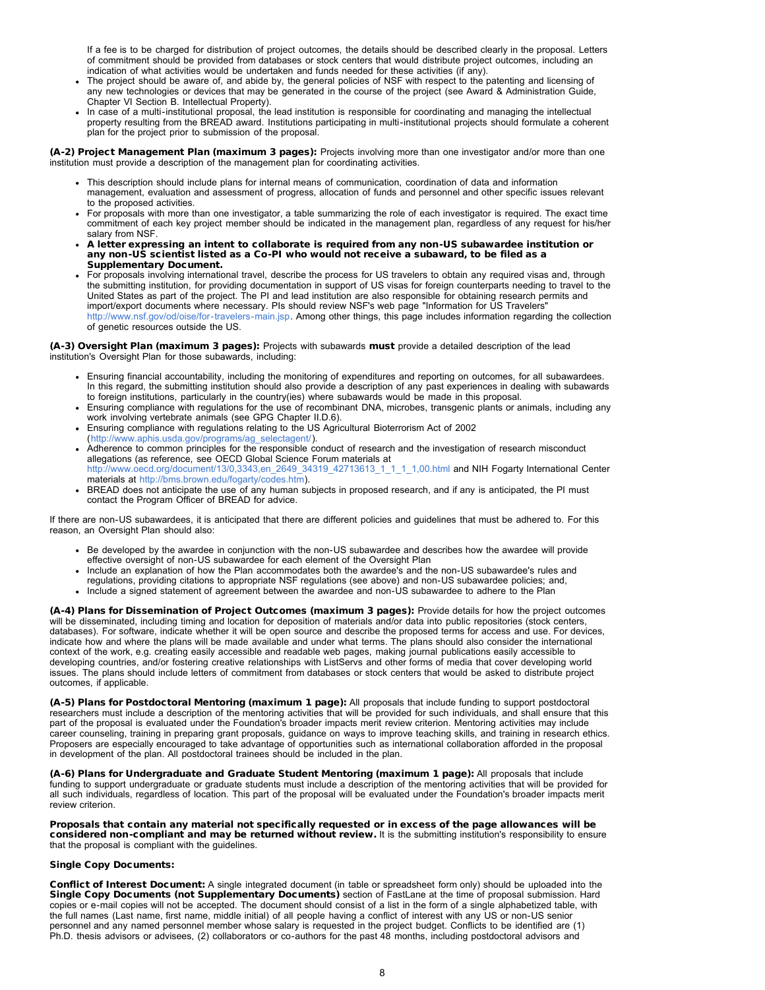If a fee is to be charged for distribution of project outcomes, the details should be described clearly in the proposal. Letters of commitment should be provided from databases or stock centers that would distribute project outcomes, including an indication of what activities would be undertaken and funds needed for these activities (if any).

- The project should be aware of, and abide by, the general policies of NSF with respect to the patenting and licensing of any new technologies or devices that may be generated in the course of the project (see Award & Administration Guide, Chapter VI Section B. Intellectual Property).
- In case of a multi-institutional proposal, the lead institution is responsible for coordinating and managing the intellectual property resulting from the BREAD award. Institutions participating in multi-institutional projects should formulate a coherent plan for the project prior to submission of the proposal.

(A-2) Project Management Plan (maximum 3 pages): Projects involving more than one investigator and/or more than one institution must provide a description of the management plan for coordinating activities.

- This description should include plans for internal means of communication, coordination of data and information management, evaluation and assessment of progress, allocation of funds and personnel and other specific issues relevant to the proposed activities.
- For proposals with more than one investigator, a table summarizing the role of each investigator is required. The exact time commitment of each key project member should be indicated in the management plan, regardless of any request for his/her salary from NSF.
- A letter expressing an intent to collaborate is required from any non-US subawardee institution or any non-US scientist listed as a Co-PI who would not receive a subaward, to be filed as a Supplementary Document.
- For proposals involving international travel, describe the process for US travelers to obtain any required visas and, through the submitting institution, for providing documentation in support of US visas for foreign counterparts needing to travel to the United States as part of the project. The PI and lead institution are also responsible for obtaining research permits and import/export documents where necessary. PIs should review NSF's web page "Information for US Travelers" [http://www.nsf.gov/od/oise/for-travelers-main.jsp.](http://www.nsf.gov/od/oise/for-travelers-main.jsp) Among other things, this page includes information regarding the collection of genetic resources outside the US.

(A-3) Oversight Plan (maximum 3 pages): Projects with subawards must provide a detailed description of the lead institution's Oversight Plan for those subawards, including:

- Ensuring financial accountability, including the monitoring of expenditures and reporting on outcomes, for all subawardees. In this regard, the submitting institution should also provide a description of any past experiences in dealing with subawards to foreign institutions, particularly in the country(ies) where subawards would be made in this proposal.
- Ensuring compliance with regulations for the use of recombinant DNA, microbes, transgenic plants or animals, including any work involving vertebrate animals (see GPG Chapter II.D.6).
- Ensuring compliance with regulations relating to the US Agricultural Bioterrorism Act of 2002 ([http://www.aphis.usda.gov/programs/ag\\_selectagent/\)](http://www.aphis.usda.gov/programs/ag_selectagent/).
- Adherence to common principles for the responsible conduct of research and the investigation of research misconduct allegations (as reference, see OECD Global Science Forum materials at [http://www.oecd.org/document/13/0,3343,en\\_2649\\_34319\\_42713613\\_1\\_1\\_1\\_1,00.html](http://www.nsf.gov/cgi-bin/good-bye?http://www.oecd.org/document/13/0,3343,en_2649_34319_42713613_1_1_1_1,00.html) and NIH Fogarty International Center materials at [http://bms.brown.edu/fogarty/codes.htm\)](http://www.nsf.gov/cgi-bin/good-bye?http://bms.brown.edu/fogarty/codes.htm).
- BREAD does not anticipate the use of any human subjects in proposed research, and if any is anticipated, the PI must contact the Program Officer of BREAD for advice.

If there are non-US subawardees, it is anticipated that there are different policies and guidelines that must be adhered to. For this reason, an Oversight Plan should also:

- Be developed by the awardee in conjunction with the non-US subawardee and describes how the awardee will provide effective oversight of non-US subawardee for each element of the Oversight Plan
- Include an explanation of how the Plan accommodates both the awardee's and the non-US subawardee's rules and
- regulations, providing citations to appropriate NSF regulations (see above) and non-US subawardee policies; and,
- Include a signed statement of agreement between the awardee and non-US subawardee to adhere to the Plan

(A-4) Plans for Dissemination of Project Outcomes (maximum 3 pages): Provide details for how the project outcomes will be disseminated, including timing and location for deposition of materials and/or data into public repositories (stock centers, databases). For software, indicate whether it will be open source and describe the proposed terms for access and use. For devices, indicate how and where the plans will be made available and under what terms. The plans should also consider the international context of the work, e.g. creating easily accessible and readable web pages, making journal publications easily accessible to developing countries, and/or fostering creative relationships with ListServs and other forms of media that cover developing world issues. The plans should include letters of commitment from databases or stock centers that would be asked to distribute project outcomes, if applicable.

(A-5) Plans for Postdoctoral Mentoring (maximum 1 page): All proposals that include funding to support postdoctoral researchers must include a description of the mentoring activities that will be provided for such individuals, and shall ensure that this part of the proposal is evaluated under the Foundation's broader impacts merit review criterion. Mentoring activities may include career counseling, training in preparing grant proposals, guidance on ways to improve teaching skills, and training in research ethics. Proposers are especially encouraged to take advantage of opportunities such as international collaboration afforded in the proposal in development of the plan. All postdoctoral trainees should be included in the plan.

(A-6) Plans for Undergraduate and Graduate Student Mentoring (maximum 1 page): All proposals that include funding to support undergraduate or graduate students must include a description of the mentoring activities that will be provided for all such individuals, regardless of location. This part of the proposal will be evaluated under the Foundation's broader impacts merit review criterion.

Proposals that contain any material not specifically requested or in excess of the page allowances will be considered non-compliant and may be returned without review. It is the submitting institution's responsibility to ensure that the proposal is compliant with the guidelines.

#### Single Copy Documents:

Conflict of Interest Document: A single integrated document (in table or spreadsheet form only) should be uploaded into the Single Copy Documents (not Supplementary Documents) section of FastLane at the time of proposal submission. Hard copies or e-mail copies will not be accepted. The document should consist of a list in the form of a single alphabetized table, with the full names (Last name, first name, middle initial) of all people having a conflict of interest with any US or non-US senior personnel and any named personnel member whose salary is requested in the project budget. Conflicts to be identified are (1) Ph.D. thesis advisors or advisees, (2) collaborators or co-authors for the past 48 months, including postdoctoral advisors and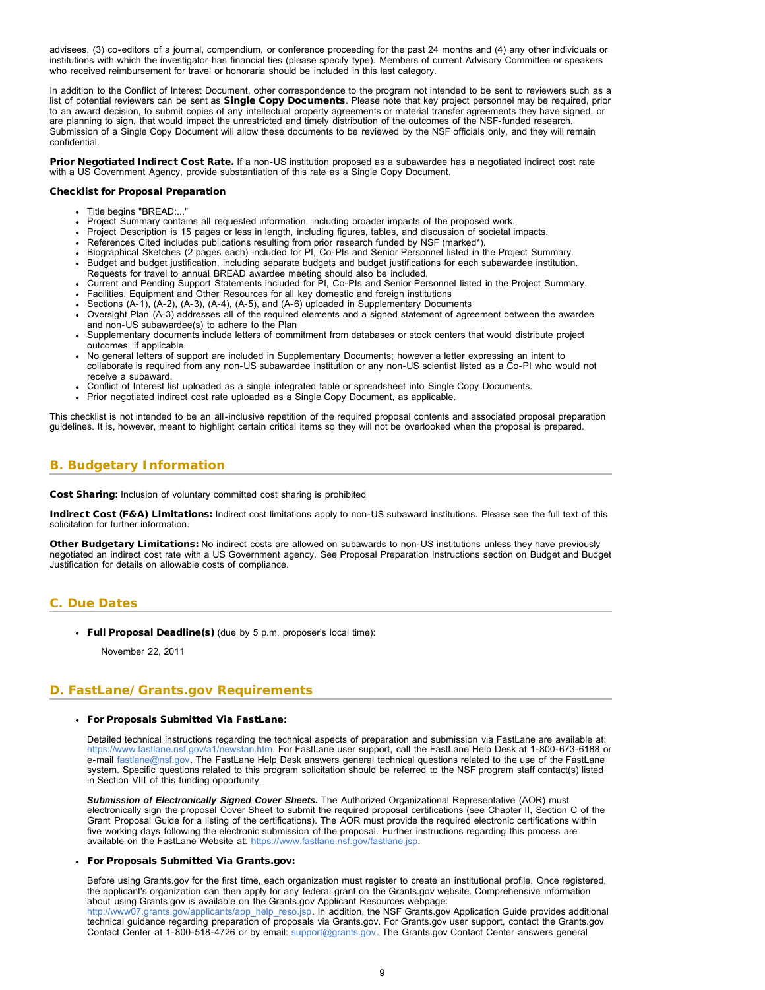<span id="page-8-1"></span>advisees, (3) co-editors of a journal, compendium, or conference proceeding for the past 24 months and (4) any other individuals or institutions with which the investigator has financial ties (please specify type). Members of current Advisory Committee or speakers who received reimbursement for travel or honoraria should be included in this last category.

In addition to the Conflict of Interest Document, other correspondence to the program not intended to be sent to reviewers such as a list of potential reviewers can be sent as Single Copy Documents. Please note that key project personnel may be required, prior to an award decision, to submit copies of any intellectual property agreements or material transfer agreements they have signed, or are planning to sign, that would impact the unrestricted and timely distribution of the outcomes of the NSF-funded research. Submission of a Single Copy Document will allow these documents to be reviewed by the NSF officials only, and they will remain confidential.

Prior Negotiated Indirect Cost Rate. If a non-US institution proposed as a subawardee has a negotiated indirect cost rate with a US Government Agency, provide substantiation of this rate as a Single Copy Document.

#### Checklist for Proposal Preparation

- Title begins "BREAD:..."
- Project Summary contains all requested information, including broader impacts of the proposed work.
- Project Description is 15 pages or less in length, including figures, tables, and discussion of societal impacts.
- References Cited includes publications resulting from prior research funded by NSF (marked\*).
- Biographical Sketches (2 pages each) included for PI, Co-PIs and Senior Personnel listed in the Project Summary.
- Budget and budget justification, including separate budgets and budget justifications for each subawardee institution. Requests for travel to annual BREAD awardee meeting should also be included.
- Current and Pending Support Statements included for PI, Co-PIs and Senior Personnel listed in the Project Summary. Facilities, Equipment and Other Resources for all key domestic and foreign institutions
- Sections (A-1), (A-2), (A-3), (A-4), (A-5), and (A-6) uploaded in Supplementary Documents
- Oversight Plan (A-3) addresses all of the required elements and a signed statement of agreement between the awardee and non-US subawardee(s) to adhere to the Plan
- Supplementary documents include letters of commitment from databases or stock centers that would distribute project outcomes, if applicable.
- No general letters of support are included in Supplementary Documents; however a letter expressing an intent to collaborate is required from any non-US subawardee institution or any non-US scientist listed as a Co-PI who would not receive a subaward.
- Conflict of Interest list uploaded as a single integrated table or spreadsheet into Single Copy Documents.
- Prior negotiated indirect cost rate uploaded as a Single Copy Document, as applicable.

This checklist is not intended to be an all-inclusive repetition of the required proposal contents and associated proposal preparation guidelines. It is, however, meant to highlight certain critical items so they will not be overlooked when the proposal is prepared.

### <span id="page-8-0"></span>**B. Budgetary Information**

Cost Sharing: Inclusion of voluntary committed cost sharing is prohibited

Indirect Cost (F&A) Limitations: Indirect cost limitations apply to non-US subaward institutions. Please see the full text of this solicitation for further information.

Other Budgetary Limitations: No indirect costs are allowed on subawards to non-US institutions unless they have previously negotiated an indirect cost rate with a US Government agency. See Proposal Preparation Instructions section on Budget and Budget Justification for details on allowable costs of compliance.

### **C. Due Dates**

Full Proposal Deadline(s) (due by 5 p.m. proposer's local time):

November 22, 2011

### <span id="page-8-2"></span>**D. FastLane/Grants.gov Requirements**

#### For Proposals Submitted Via FastLane:

Detailed technical instructions regarding the technical aspects of preparation and submission via FastLane are available at: [https://www.fastlane.nsf.gov/a1/newstan.htm.](https://www.fastlane.nsf.gov/a1/newstan.htm) For FastLane user support, call the FastLane Help Desk at 1-800-673-6188 or e-mail [fastlane@nsf.gov.](mailto:fastlane@nsf.gov) The FastLane Help Desk answers general technical questions related to the use of the FastLane system. Specific questions related to this program solicitation should be referred to the NSF program staff contact(s) listed in Section VIII of this funding opportunity.

*Submission of Electronically Signed Cover Sheets.* The Authorized Organizational Representative (AOR) must electronically sign the proposal Cover Sheet to submit the required proposal certifications (see Chapter II, Section C of the Grant Proposal Guide for a listing of the certifications). The AOR must provide the required electronic certifications within five working days following the electronic submission of the proposal. Further instructions regarding this process are available on the FastLane Website at: [https://www.fastlane.nsf.gov/fastlane.jsp.](https://www.fastlane.nsf.gov/fastlane.jsp)

#### For Proposals Submitted Via Grants.gov:

Before using Grants.gov for the first time, each organization must register to create an institutional profile. Once registered, the applicant's organization can then apply for any federal grant on the Grants.gov website. Comprehensive information about using Grants.gov is available on the Grants.gov Applicant Resources webpage: [http://www07.grants.gov/applicants/app\\_help\\_reso.jsp.](http://www07.grants.gov/applicants/app_help_reso.jsp) In addition, the NSF Grants.gov Application Guide provides additional technical guidance regarding preparation of proposals via Grants.gov. For Grants.gov user support, contact the Grants.gov Contact Center at 1-800-518-4726 or by email: [support@grants.gov](mailto:support@grants.gov). The Grants.gov Contact Center answers general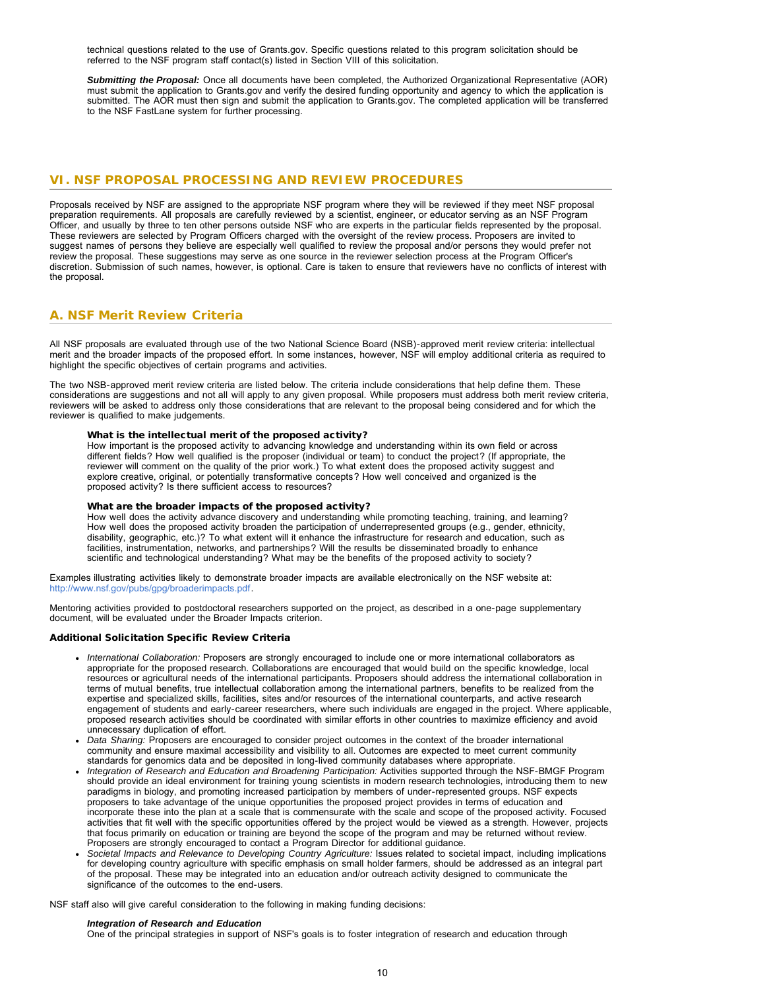technical questions related to the use of Grants.gov. Specific questions related to this program solicitation should be referred to the NSF program staff contact(s) listed in Section VIII of this solicitation.

**Submitting the Proposal:** Once all documents have been completed, the Authorized Organizational Representative (AOR) must submit the application to Grants.gov and verify the desired funding opportunity and agency to which the application is submitted. The AOR must then sign and submit the application to Grants.gov. The completed application will be transferred to the NSF FastLane system for further processing.

### <span id="page-9-0"></span>**VI. NSF PROPOSAL PROCESSING AND REVIEW PROCEDURES**

Proposals received by NSF are assigned to the appropriate NSF program where they will be reviewed if they meet NSF proposal preparation requirements. All proposals are carefully reviewed by a scientist, engineer, or educator serving as an NSF Program Officer, and usually by three to ten other persons outside NSF who are experts in the particular fields represented by the proposal. These reviewers are selected by Program Officers charged with the oversight of the review process. Proposers are invited to suggest names of persons they believe are especially well qualified to review the proposal and/or persons they would prefer not review the proposal. These suggestions may serve as one source in the reviewer selection process at the Program Officer's discretion. Submission of such names, however, is optional. Care is taken to ensure that reviewers have no conflicts of interest with the proposal.

### <span id="page-9-1"></span>**A. NSF Merit Review Criteria**

All NSF proposals are evaluated through use of the two National Science Board (NSB)-approved merit review criteria: intellectual merit and the broader impacts of the proposed effort. In some instances, however, NSF will employ additional criteria as required to highlight the specific objectives of certain programs and activities.

The two NSB-approved merit review criteria are listed below. The criteria include considerations that help define them. These considerations are suggestions and not all will apply to any given proposal. While proposers must address both merit review criteria, reviewers will be asked to address only those considerations that are relevant to the proposal being considered and for which the reviewer is qualified to make judgements.

#### What is the intellectual merit of the proposed activity?

How important is the proposed activity to advancing knowledge and understanding within its own field or across different fields? How well qualified is the proposer (individual or team) to conduct the project? (If appropriate, the reviewer will comment on the quality of the prior work.) To what extent does the proposed activity suggest and explore creative, original, or potentially transformative concepts? How well conceived and organized is the proposed activity? Is there sufficient access to resources?

#### What are the broader impacts of the proposed activity?

How well does the activity advance discovery and understanding while promoting teaching, training, and learning? How well does the proposed activity broaden the participation of underrepresented groups (e.g., gender, ethnicity, disability, geographic, etc.)? To what extent will it enhance the infrastructure for research and education, such as facilities, instrumentation, networks, and partnerships? Will the results be disseminated broadly to enhance scientific and technological understanding? What may be the benefits of the proposed activity to society?

Examples illustrating activities likely to demonstrate broader impacts are available electronically on the NSF website at: <http://www.nsf.gov/pubs/gpg/broaderimpacts.pdf>.

Mentoring activities provided to postdoctoral researchers supported on the project, as described in a one-page supplementary document, will be evaluated under the Broader Impacts criterion.

### Additional Solicitation Specific Review Criteria

- *International Collaboration:* Proposers are strongly encouraged to include one or more international collaborators as appropriate for the proposed research. Collaborations are encouraged that would build on the specific knowledge, local resources or agricultural needs of the international participants. Proposers should address the international collaboration in terms of mutual benefits, true intellectual collaboration among the international partners, benefits to be realized from the expertise and specialized skills, facilities, sites and/or resources of the international counterparts, and active research engagement of students and early-career researchers, where such individuals are engaged in the project. Where applicable, proposed research activities should be coordinated with similar efforts in other countries to maximize efficiency and avoid unnecessary duplication of effort.
- *Data Sharing:* Proposers are encouraged to consider project outcomes in the context of the broader international community and ensure maximal accessibility and visibility to all. Outcomes are expected to meet current community standards for genomics data and be deposited in long-lived community databases where appropriate.
- *Integration of Research and Education and Broadening Participation:* Activities supported through the NSF-BMGF Program should provide an ideal environment for training young scientists in modern research technologies, introducing them to new paradigms in biology, and promoting increased participation by members of under-represented groups. NSF expects proposers to take advantage of the unique opportunities the proposed project provides in terms of education and incorporate these into the plan at a scale that is commensurate with the scale and scope of the proposed activity. Focused activities that fit well with the specific opportunities offered by the project would be viewed as a strength. However, projects that focus primarily on education or training are beyond the scope of the program and may be returned without review. Proposers are strongly encouraged to contact a Program Director for additional guidance.
- *Societal Impacts and Relevance to Developing Country Agriculture:* Issues related to societal impact, including implications for developing country agriculture with specific emphasis on small holder farmers, should be addressed as an integral part of the proposal. These may be integrated into an education and/or outreach activity designed to communicate the significance of the outcomes to the end-users.

NSF staff also will give careful consideration to the following in making funding decisions:

#### *Integration of Research and Education*

One of the principal strategies in support of NSF's goals is to foster integration of research and education through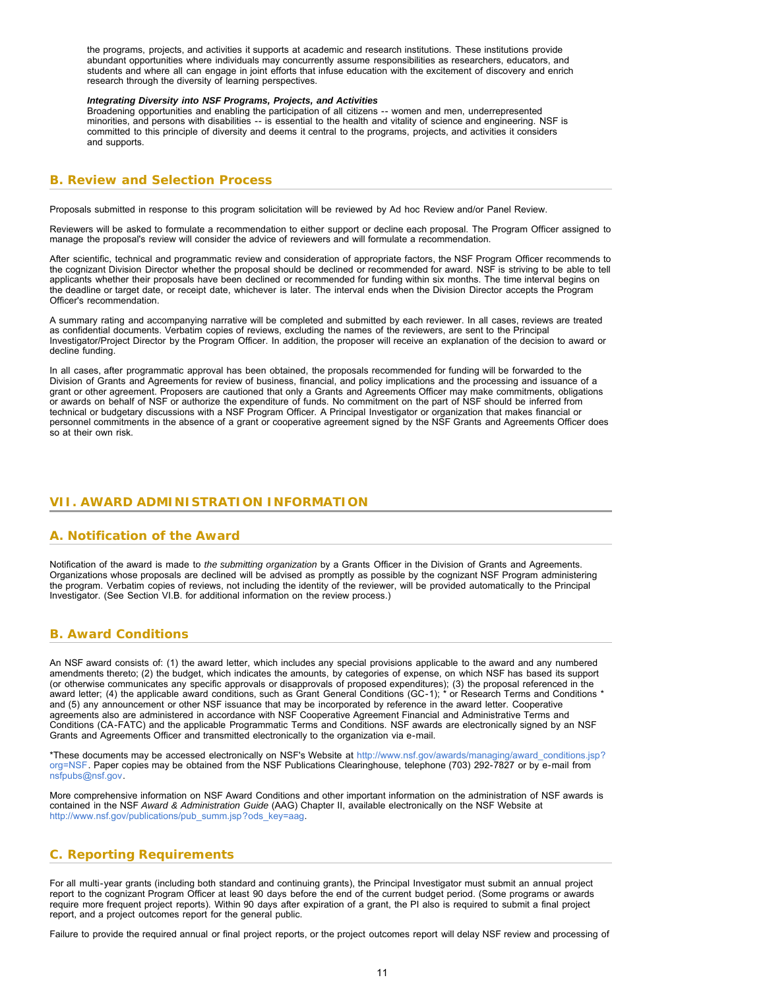the programs, projects, and activities it supports at academic and research institutions. These institutions provide abundant opportunities where individuals may concurrently assume responsibilities as researchers, educators, and students and where all can engage in joint efforts that infuse education with the excitement of discovery and enrich research through the diversity of learning perspectives.

#### *Integrating Diversity into NSF Programs, Projects, and Activities*

Broadening opportunities and enabling the participation of all citizens -- women and men, underrepresented minorities, and persons with disabilities -- is essential to the health and vitality of science and engineering. NSF is committed to this principle of diversity and deems it central to the programs, projects, and activities it considers and supports.

### <span id="page-10-0"></span>**B. Review and Selection Process**

Proposals submitted in response to this program solicitation will be reviewed by Ad hoc Review and/or Panel Review.

Reviewers will be asked to formulate a recommendation to either support or decline each proposal. The Program Officer assigned to manage the proposal's review will consider the advice of reviewers and will formulate a recommendation.

After scientific, technical and programmatic review and consideration of appropriate factors, the NSF Program Officer recommends to the cognizant Division Director whether the proposal should be declined or recommended for award. NSF is striving to be able to tell applicants whether their proposals have been declined or recommended for funding within six months. The time interval begins on the deadline or target date, or receipt date, whichever is later. The interval ends when the Division Director accepts the Program Officer's recommendation.

A summary rating and accompanying narrative will be completed and submitted by each reviewer. In all cases, reviews are treated as confidential documents. Verbatim copies of reviews, excluding the names of the reviewers, are sent to the Principal Investigator/Project Director by the Program Officer. In addition, the proposer will receive an explanation of the decision to award or decline funding.

In all cases, after programmatic approval has been obtained, the proposals recommended for funding will be forwarded to the Division of Grants and Agreements for review of business, financial, and policy implications and the processing and issuance of a grant or other agreement. Proposers are cautioned that only a Grants and Agreements Officer may make commitments, obligations or awards on behalf of NSF or authorize the expenditure of funds. No commitment on the part of NSF should be inferred from technical or budgetary discussions with a NSF Program Officer. A Principal Investigator or organization that makes financial or personnel commitments in the absence of a grant or cooperative agreement signed by the NSF Grants and Agreements Officer does so at their own risk.

## <span id="page-10-1"></span>**VII. AWARD ADMINISTRATION INFORMATION**

### <span id="page-10-2"></span>**A. Notification of the Award**

Notification of the award is made to *the submitting organization* by a Grants Officer in the Division of Grants and Agreements. Organizations whose proposals are declined will be advised as promptly as possible by the cognizant NSF Program administering the program. Verbatim copies of reviews, not including the identity of the reviewer, will be provided automatically to the Principal Investigator. (See Section VI.B. for additional information on the review process.)

### <span id="page-10-3"></span>**B. Award Conditions**

An NSF award consists of: (1) the award letter, which includes any special provisions applicable to the award and any numbered amendments thereto; (2) the budget, which indicates the amounts, by categories of expense, on which NSF has based its support (or otherwise communicates any specific approvals or disapprovals of proposed expenditures); (3) the proposal referenced in the award letter; (4) the applicable award conditions, such as Grant General Conditions (GC-1); \* or Research Terms and Conditions \* and (5) any announcement or other NSF issuance that may be incorporated by reference in the award letter. Cooperative agreements also are administered in accordance with NSF Cooperative Agreement Financial and Administrative Terms and Conditions (CA-FATC) and the applicable Programmatic Terms and Conditions. NSF awards are electronically signed by an NSF Grants and Agreements Officer and transmitted electronically to the organization via e-mail.

\*These documents may be accessed electronically on NSF's Website at [http://www.nsf.gov/awards/managing/award\\_conditions.jsp?](http://www.nsf.gov/awards/managing/award_conditions.jsp?org=NSF) [org=NSF.](http://www.nsf.gov/awards/managing/award_conditions.jsp?org=NSF) Paper copies may be obtained from the NSF Publications Clearinghouse, telephone (703) 292-7827 or by e-mail from [nsfpubs@nsf.gov.](mailto:nsfpubs@nsf.gov)

More comprehensive information on NSF Award Conditions and other important information on the administration of NSF awards is contained in the NSF *Award & Administration Guide* (AAG) Chapter II, available electronically on the NSF Website at [http://www.nsf.gov/publications/pub\\_summ.jsp?ods\\_key=aag.](http://www.nsf.gov/publications/pub_summ.jsp?ods_key=aag)

### <span id="page-10-4"></span>**C. Reporting Requirements**

For all multi-year grants (including both standard and continuing grants), the Principal Investigator must submit an annual project report to the cognizant Program Officer at least 90 days before the end of the current budget period. (Some programs or awards require more frequent project reports). Within 90 days after expiration of a grant, the PI also is required to submit a final project report, and a project outcomes report for the general public.

Failure to provide the required annual or final project reports, or the project outcomes report will delay NSF review and processing of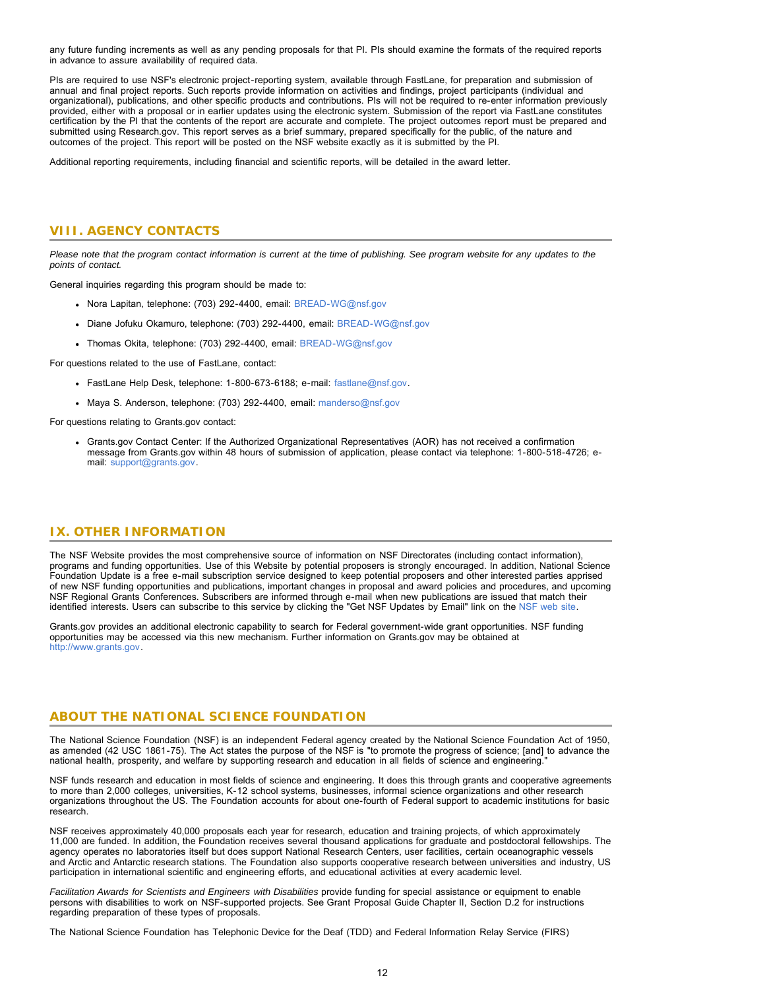any future funding increments as well as any pending proposals for that PI. PIs should examine the formats of the required reports in advance to assure availability of required data.

PIs are required to use NSF's electronic project-reporting system, available through FastLane, for preparation and submission of annual and final project reports. Such reports provide information on activities and findings, project participants (individual and organizational), publications, and other specific products and contributions. PIs will not be required to re-enter information previously provided, either with a proposal or in earlier updates using the electronic system. Submission of the report via FastLane constitutes certification by the PI that the contents of the report are accurate and complete. The project outcomes report must be prepared and submitted using Research.gov. This report serves as a brief summary, prepared specifically for the public, of the nature and outcomes of the project. This report will be posted on the NSF website exactly as it is submitted by the PI.

<span id="page-11-0"></span>Additional reporting requirements, including financial and scientific reports, will be detailed in the award letter.

### **VIII. AGENCY CONTACTS**

*Please note that the program contact information is current at the time of publishing. See program website for any updates to the points of contact.*

General inquiries regarding this program should be made to:

- Nora Lapitan, telephone: (703) 292-4400, email: [BREAD-WG@nsf.gov](mailto:BREAD-WG@nsf.gov)
- Diane Jofuku Okamuro, telephone: (703) 292-4400, email: [BREAD-WG@nsf.gov](mailto:BREAD-WG@nsf.gov)
- Thomas Okita, telephone: (703) 292-4400, email: [BREAD-WG@nsf.gov](mailto:BREAD-WG@nsf.gov)

For questions related to the use of FastLane, contact:

- FastLane Help Desk, telephone: 1-800-673-6188; e-mail: [fastlane@nsf.gov.](mailto:fastlane@nsf.gov)
- Maya S. Anderson, telephone: (703) 292-4400, email: [manderso@nsf.gov](mailto:manderso@nsf.gov)

For questions relating to Grants.gov contact:

Grants.gov Contact Center: If the Authorized Organizational Representatives (AOR) has not received a confirmation message from Grants.gov within 48 hours of submission of application, please contact via telephone: 1-800-518-4726; email: [support@grants.gov.](mailto:support@grants.gov)

### <span id="page-11-1"></span>**IX. OTHER INFORMATION**

The NSF Website provides the most comprehensive source of information on NSF Directorates (including contact information), programs and funding opportunities. Use of this Website by potential proposers is strongly encouraged. In addition, National Science Foundation Update is a free e-mail subscription service designed to keep potential proposers and other interested parties apprised of new NSF funding opportunities and publications, important changes in proposal and award policies and procedures, and upcoming NSF Regional Grants Conferences. Subscribers are informed through e-mail when new publications are issued that match their identified interests. Users can subscribe to this service by clicking the "Get NSF Updates by Email" link on the [NSF web site.](http://www.nsf.gov/)

Grants.gov provides an additional electronic capability to search for Federal government-wide grant opportunities. NSF funding opportunities may be accessed via this new mechanism. Further information on Grants.gov may be obtained at [http://www.grants.gov.](http://www.grants.gov/)

### **ABOUT THE NATIONAL SCIENCE FOUNDATION**

The National Science Foundation (NSF) is an independent Federal agency created by the National Science Foundation Act of 1950, as amended (42 USC 1861-75). The Act states the purpose of the NSF is "to promote the progress of science; [and] to advance the national health, prosperity, and welfare by supporting research and education in all fields of science and engineering."

NSF funds research and education in most fields of science and engineering. It does this through grants and cooperative agreements to more than 2,000 colleges, universities, K-12 school systems, businesses, informal science organizations and other research organizations throughout the US. The Foundation accounts for about one-fourth of Federal support to academic institutions for basic research.

NSF receives approximately 40,000 proposals each year for research, education and training projects, of which approximately 11,000 are funded. In addition, the Foundation receives several thousand applications for graduate and postdoctoral fellowships. The agency operates no laboratories itself but does support National Research Centers, user facilities, certain oceanographic vessels and Arctic and Antarctic research stations. The Foundation also supports cooperative research between universities and industry, US participation in international scientific and engineering efforts, and educational activities at every academic level.

*Facilitation Awards for Scientists and Engineers with Disabilities* provide funding for special assistance or equipment to enable persons with disabilities to work on NSF-supported projects. See Grant Proposal Guide Chapter II, Section D.2 for instructions regarding preparation of these types of proposals.

The National Science Foundation has Telephonic Device for the Deaf (TDD) and Federal Information Relay Service (FIRS)